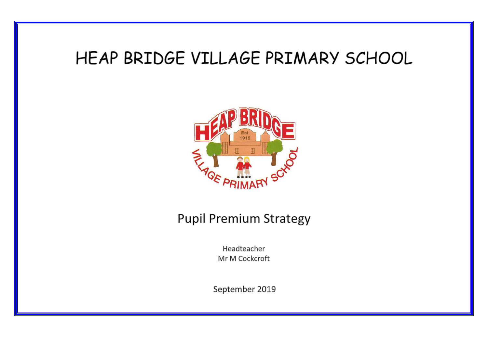# HEAP BRIDGE VILLAGE PRIMARY SCHOOL



## **Pupil Premium Strategy**

Headteacher Mr M Cockcroft

September 2019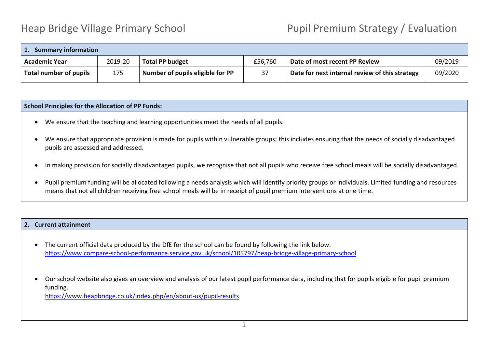## Heap Bridge Village Primary School **Pupil Premium Strategy / Evaluation**

| <b>Summary information</b> |         |                                  |         |                                                |         |
|----------------------------|---------|----------------------------------|---------|------------------------------------------------|---------|
| <b>Academic Year</b>       | 2019-20 | <b>Total PP budget</b>           | £56,760 | Date of most recent PP Review                  | 09/2019 |
| Total number of pupils     | 175     | Number of pupils eligible for PP | 37      | Date for next internal review of this strategy | 09/2020 |

### **School Principles for the Allocation of PP Funds:**

- We ensure that the teaching and learning opportunities meet the needs of all pupils.
- We ensure that appropriate provision is made for pupils within vulnerable groups; this includes ensuring that the needs of socially disadvantaged pupils are assessed and addressed.
- In making provision for socially disadvantaged pupils, we recognise that not all pupils who receive free school meals will be socially disadvantaged.
- Pupil premium funding will be allocated following a needs analysis which will identify priority groups or individuals. Limited funding and resources means that not all children receiving free school meals will be in receipt of pupil premium interventions at one time.

#### **2. Current attainment**

- The current official data produced by the DfE for the school can be found by following the link below. <https://www.compare-school-performance.service.gov.uk/school/105797/heap-bridge-village-primary-school>
- Our school website also gives an overview and analysis of our latest pupil performance data, including that for pupils eligible for pupil premium funding.

<https://www.heapbridge.co.uk/index.php/en/about-us/pupil-results>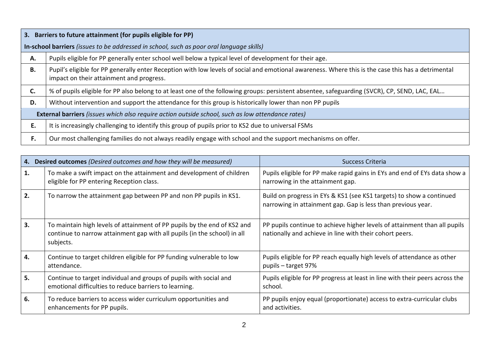| 3.                                                                                                       | Barriers to future attainment (for pupils eligible for PP)                                                                                                                                     |  |  |  |  |
|----------------------------------------------------------------------------------------------------------|------------------------------------------------------------------------------------------------------------------------------------------------------------------------------------------------|--|--|--|--|
|                                                                                                          | In-school barriers (issues to be addressed in school, such as poor oral language skills)                                                                                                       |  |  |  |  |
| А.                                                                                                       | Pupils eligible for PP generally enter school well below a typical level of development for their age.                                                                                         |  |  |  |  |
| В.                                                                                                       | Pupil's eligible for PP generally enter Reception with low levels of social and emotional awareness. Where this is the case this has a detrimental<br>impact on their attainment and progress. |  |  |  |  |
| C.                                                                                                       | % of pupils eligible for PP also belong to at least one of the following groups: persistent absentee, safeguarding (SVCR), CP, SEND, LAC, EAL                                                  |  |  |  |  |
| D.                                                                                                       | Without intervention and support the attendance for this group is historically lower than non PP pupils                                                                                        |  |  |  |  |
| <b>External barriers</b> (issues which also require action outside school, such as low attendance rates) |                                                                                                                                                                                                |  |  |  |  |
| E.                                                                                                       | It is increasingly challenging to identify this group of pupils prior to KS2 due to universal FSMs                                                                                             |  |  |  |  |
| F.                                                                                                       | Our most challenging families do not always readily engage with school and the support mechanisms on offer.                                                                                    |  |  |  |  |

| 4. | Desired outcomes (Desired outcomes and how they will be measured)                                                                                                 | Success Criteria                                                                                                                     |  |  |
|----|-------------------------------------------------------------------------------------------------------------------------------------------------------------------|--------------------------------------------------------------------------------------------------------------------------------------|--|--|
| 1. | To make a swift impact on the attainment and development of children<br>eligible for PP entering Reception class.                                                 | Pupils eligible for PP make rapid gains in EYs and end of EYs data show a<br>narrowing in the attainment gap.                        |  |  |
| 2. | To narrow the attainment gap between PP and non PP pupils in KS1.                                                                                                 | Build on progress in EYs & KS1 (see KS1 targets) to show a continued<br>narrowing in attainment gap. Gap is less than previous year. |  |  |
| 3. | To maintain high levels of attainment of PP pupils by the end of KS2 and<br>continue to narrow attainment gap with all pupils (in the school) in all<br>subjects. | PP pupils continue to achieve higher levels of attainment than all pupils<br>nationally and achieve in line with their cohort peers. |  |  |
| 4. | Continue to target children eligible for PP funding vulnerable to low<br>attendance.                                                                              | Pupils eligible for PP reach equally high levels of attendance as other<br>pupils – target 97%                                       |  |  |
| 5. | Continue to target individual and groups of pupils with social and<br>emotional difficulties to reduce barriers to learning.                                      | Pupils eligible for PP progress at least in line with their peers across the<br>school.                                              |  |  |
| 6. | To reduce barriers to access wider curriculum opportunities and<br>enhancements for PP pupils.                                                                    | PP pupils enjoy equal (proportionate) access to extra-curricular clubs<br>and activities.                                            |  |  |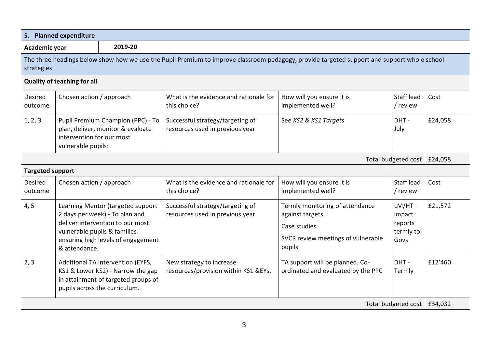|                           | 5. Planned expenditure                                                                                                    |                                                                                                                                                |                                                                                                                                             |                                                                                                                     |                                                     |         |
|---------------------------|---------------------------------------------------------------------------------------------------------------------------|------------------------------------------------------------------------------------------------------------------------------------------------|---------------------------------------------------------------------------------------------------------------------------------------------|---------------------------------------------------------------------------------------------------------------------|-----------------------------------------------------|---------|
| 2019-20<br>Academic year  |                                                                                                                           |                                                                                                                                                |                                                                                                                                             |                                                                                                                     |                                                     |         |
| strategies:               |                                                                                                                           |                                                                                                                                                | The three headings below show how we use the Pupil Premium to improve classroom pedagogy, provide targeted support and support whole school |                                                                                                                     |                                                     |         |
|                           | <b>Quality of teaching for all</b>                                                                                        |                                                                                                                                                |                                                                                                                                             |                                                                                                                     |                                                     |         |
| Desired<br>outcome        | Chosen action / approach                                                                                                  |                                                                                                                                                | What is the evidence and rationale for<br>this choice?                                                                                      | How will you ensure it is<br>implemented well?                                                                      | Staff lead<br>/ review                              | Cost    |
| 1, 2, 3                   | Pupil Premium Champion (PPC) - To<br>plan, deliver, monitor & evaluate<br>intervention for our most<br>vulnerable pupils: |                                                                                                                                                | Successful strategy/targeting of<br>resources used in previous year                                                                         | See KS2 & KS1 Targets                                                                                               | DHT-<br>July                                        | £24,058 |
|                           |                                                                                                                           |                                                                                                                                                |                                                                                                                                             |                                                                                                                     | Total budgeted cost                                 | £24,058 |
| <b>Targeted support</b>   |                                                                                                                           |                                                                                                                                                |                                                                                                                                             |                                                                                                                     |                                                     |         |
| <b>Desired</b><br>outcome | Chosen action / approach                                                                                                  |                                                                                                                                                | What is the evidence and rationale for<br>this choice?                                                                                      | How will you ensure it is<br>implemented well?                                                                      | Staff lead<br>/ review                              | Cost    |
| 4, 5                      | vulnerable pupils & families<br>& attendance.                                                                             | Learning Mentor (targeted support<br>2 days per week) - To plan and<br>deliver intervention to our most<br>ensuring high levels of engagement  | Successful strategy/targeting of<br>resources used in previous year                                                                         | Termly monitoring of attendance<br>against targets,<br>Case studies<br>SVCR review meetings of vulnerable<br>pupils | $LM/HT -$<br>impact<br>reports<br>termly to<br>Govs | £21,572 |
| 2, 3                      |                                                                                                                           | Additional TA intervention (EYFS,<br>KS1 & Lower KS2) - Narrow the gap<br>in attainment of targeted groups of<br>pupils across the curriculum. | New strategy to increase<br>resources/provision within KS1 &EYs.                                                                            | TA support will be planned. Co-<br>ordinated and evaluated by the PPC                                               | DHT-<br>Termly                                      | £12'460 |
| Total budgeted cost       |                                                                                                                           |                                                                                                                                                |                                                                                                                                             |                                                                                                                     | £34,032                                             |         |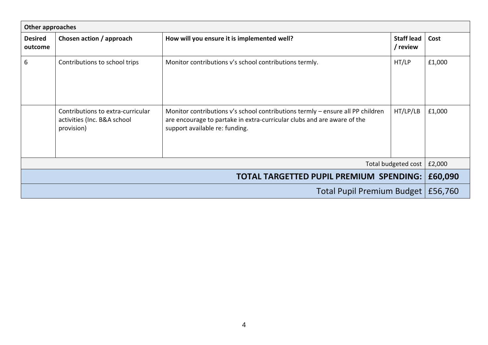| <b>Other approaches</b>                        |                                                                                |                                                                                                                                                                                             |                               |         |  |
|------------------------------------------------|--------------------------------------------------------------------------------|---------------------------------------------------------------------------------------------------------------------------------------------------------------------------------------------|-------------------------------|---------|--|
| <b>Desired</b><br>outcome                      | Chosen action / approach                                                       | How will you ensure it is implemented well?                                                                                                                                                 | <b>Staff lead</b><br>/ review | Cost    |  |
| 6                                              | Contributions to school trips                                                  | Monitor contributions v's school contributions termly.                                                                                                                                      | HT/LP                         | £1,000  |  |
|                                                | Contributions to extra-curricular<br>activities (Inc. B&A school<br>provision) | Monitor contributions v's school contributions termly – ensure all PP children<br>are encourage to partake in extra-curricular clubs and are aware of the<br>support available re: funding. | HT/LP/LB                      | £1,000  |  |
| Total budgeted cost                            |                                                                                |                                                                                                                                                                                             |                               | £2,000  |  |
| <b>TOTAL TARGETTED PUPIL PREMIUM SPENDING:</b> |                                                                                |                                                                                                                                                                                             |                               | £60,090 |  |
| Total Pupil Premium Budget                     |                                                                                |                                                                                                                                                                                             | £56,760                       |         |  |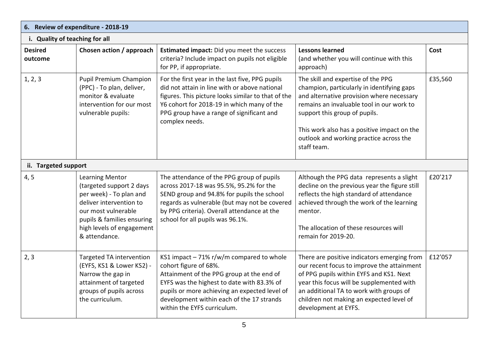| 6. Review of expenditure - 2018-19 |                                                                                                                                                                                                             |                                                                                                                                                                                                                                                                                           |                                                                                                                                                                                                                                                                                                                      |         |  |
|------------------------------------|-------------------------------------------------------------------------------------------------------------------------------------------------------------------------------------------------------------|-------------------------------------------------------------------------------------------------------------------------------------------------------------------------------------------------------------------------------------------------------------------------------------------|----------------------------------------------------------------------------------------------------------------------------------------------------------------------------------------------------------------------------------------------------------------------------------------------------------------------|---------|--|
| i. Quality of teaching for all     |                                                                                                                                                                                                             |                                                                                                                                                                                                                                                                                           |                                                                                                                                                                                                                                                                                                                      |         |  |
| <b>Desired</b><br>outcome          | Chosen action / approach                                                                                                                                                                                    | <b>Estimated impact:</b> Did you meet the success<br>criteria? Include impact on pupils not eligible<br>for PP, if appropriate.                                                                                                                                                           | <b>Lessons learned</b><br>(and whether you will continue with this<br>approach)                                                                                                                                                                                                                                      | Cost    |  |
| 1, 2, 3                            | Pupil Premium Champion<br>(PPC) - To plan, deliver,<br>monitor & evaluate<br>intervention for our most<br>vulnerable pupils:                                                                                | For the first year in the last five, PPG pupils<br>did not attain in line with or above national<br>figures. This picture looks similar to that of the<br>Y6 cohort for 2018-19 in which many of the<br>PPG group have a range of significant and<br>complex needs.                       | The skill and expertise of the PPG<br>champion, particularly in identifying gaps<br>and alternative provision where necessary<br>remains an invaluable tool in our work to<br>support this group of pupils.<br>This work also has a positive impact on the<br>outlook and working practice across the<br>staff team. | £35,560 |  |
| ii. Targeted support               |                                                                                                                                                                                                             |                                                                                                                                                                                                                                                                                           |                                                                                                                                                                                                                                                                                                                      |         |  |
| 4, 5                               | <b>Learning Mentor</b><br>(targeted support 2 days<br>per week) - To plan and<br>deliver intervention to<br>our most vulnerable<br>pupils & families ensuring<br>high levels of engagement<br>& attendance. | The attendance of the PPG group of pupils<br>across 2017-18 was 95.5%, 95.2% for the<br>SEND group and 94.8% for pupils the school<br>regards as vulnerable (but may not be covered<br>by PPG criteria). Overall attendance at the<br>school for all pupils was 96.1%.                    | Although the PPG data represents a slight<br>decline on the previous year the figure still<br>reflects the high standard of attendance<br>achieved through the work of the learning<br>mentor.<br>The allocation of these resources will<br>remain for 2019-20.                                                      | £20'217 |  |
| 2, 3                               | Targeted TA intervention<br>(EYFS, KS1 & Lower KS2) -<br>Narrow the gap in<br>attainment of targeted<br>groups of pupils across<br>the curriculum.                                                          | KS1 impact - 71% r/w/m compared to whole<br>cohort figure of 68%.<br>Attainment of the PPG group at the end of<br>EYFS was the highest to date with 83.3% of<br>pupils or more achieving an expected level of<br>development within each of the 17 strands<br>within the EYFS curriculum. | There are positive indicators emerging from<br>our recent focus to improve the attainment<br>of PPG pupils within EYFS and KS1. Next<br>year this focus will be supplemented with<br>an additional TA to work with groups of<br>children not making an expected level of<br>development at EYFS.                     | £12'057 |  |